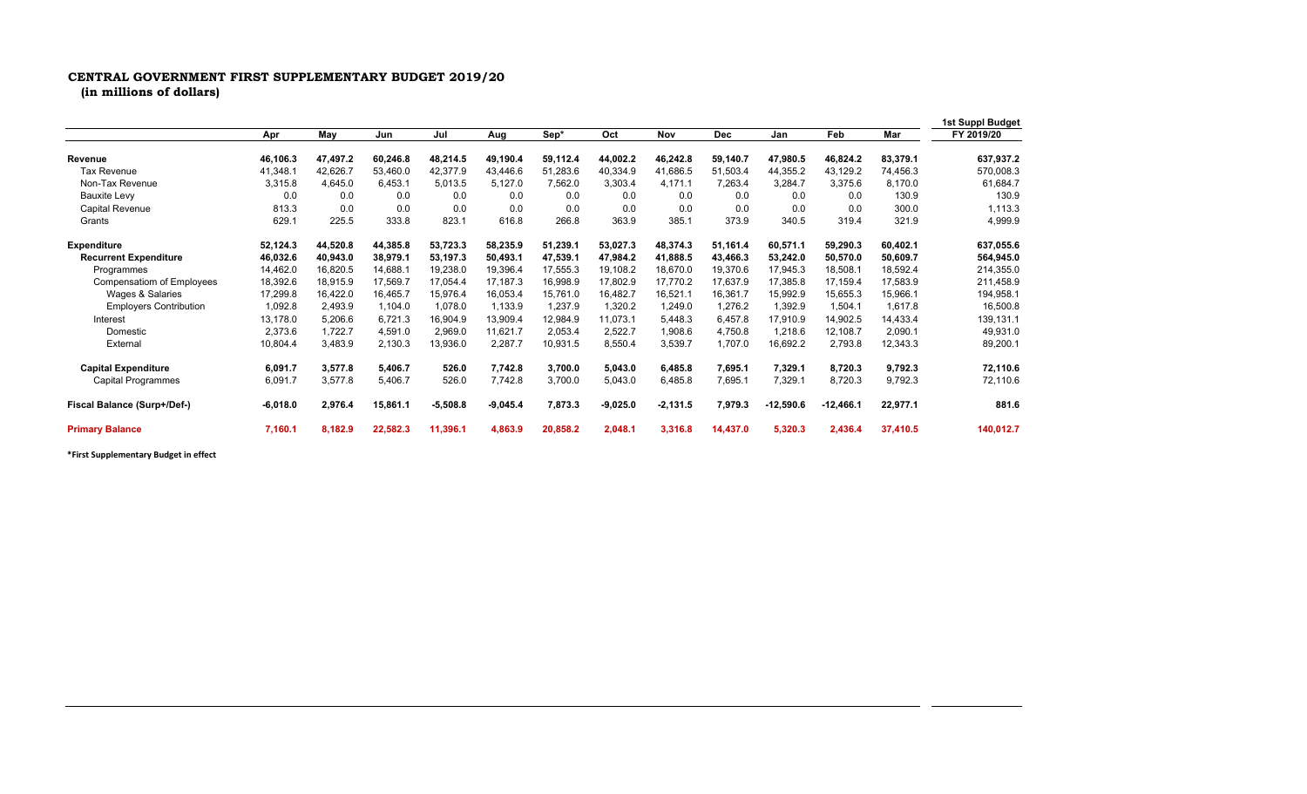## **CENTRAL GOVERNMENT FIRST SUPPLEMENTARY BUDGET 2019/20**

**(in millions of dollars)**

|                                  |            |          |          |            |            |          |            |            |            |             |             |          | 1st Suppl Budget |
|----------------------------------|------------|----------|----------|------------|------------|----------|------------|------------|------------|-------------|-------------|----------|------------------|
|                                  | Apr        | May      | Jun      | Jul        | Aug        | Sep*     | Oct        | Nov        | <b>Dec</b> | Jan         | Feb         | Mar      | FY 2019/20       |
| <b>Revenue</b>                   | 46.106.3   | 47,497.2 | 60,246.8 | 48,214.5   | 49.190.4   | 59.112.4 | 44,002.2   | 46,242.8   | 59.140.7   | 47,980.5    | 46,824.2    | 83,379.1 | 637,937.2        |
| <b>Tax Revenue</b>               | 41,348.1   | 42,626.7 | 53,460.0 | 42,377.9   | 43,446.6   | 51,283.6 | 40,334.9   | 41,686.5   | 51,503.4   | 44,355.2    | 43,129.2    | 74,456.3 | 570,008.3        |
| Non-Tax Revenue                  | 3,315.8    | 4,645.0  | 6,453.1  | 5,013.5    | 5,127.0    | 7,562.0  | 3,303.4    | 4,171.1    | 7,263.4    | 3,284.7     | 3,375.6     | 8,170.0  | 61,684.7         |
| <b>Bauxite Levy</b>              | 0.0        | 0.0      | 0.0      | 0.0        | 0.0        | 0.0      | 0.0        | 0.0        | 0.0        | 0.0         | 0.0         | 130.9    | 130.9            |
| <b>Capital Revenue</b>           | 813.3      | 0.0      | 0.0      | 0.0        | 0.0        | 0.0      | 0.0        | 0.0        | 0.0        | 0.0         | 0.0         | 300.0    | 1,113.3          |
| Grants                           | 629.1      | 225.5    | 333.8    | 823.1      | 616.8      | 266.8    | 363.9      | 385.1      | 373.9      | 340.5       | 319.4       | 321.9    | 4,999.9          |
| <b>Expenditure</b>               | 52,124.3   | 44,520.8 | 44,385.8 | 53,723.3   | 58,235.9   | 51,239.1 | 53,027.3   | 48,374.3   | 51,161.4   | 60,571.1    | 59,290.3    | 60,402.1 | 637,055.6        |
| <b>Recurrent Expenditure</b>     | 46,032.6   | 40,943.0 | 38,979.1 | 53.197.3   | 50,493.1   | 47,539.1 | 47,984.2   | 41,888.5   | 43.466.3   | 53,242.0    | 50,570.0    | 50,609.7 | 564,945.0        |
| Programmes                       | 14,462.0   | 16,820.5 | 14.688.1 | 19,238.0   | 19,396.4   | 17,555.3 | 19,108.2   | 18,670.0   | 19,370.6   | 17.945.3    | 18,508.1    | 18,592.4 | 214,355.0        |
| <b>Compensatiom of Employees</b> | 18,392.6   | 18,915.9 | 17,569.7 | 17.054.4   | 17,187.3   | 16,998.9 | 17,802.9   | 17,770.2   | 17.637.9   | 17,385.8    | 17,159.4    | 17,583.9 | 211,458.9        |
| Wages & Salaries                 | 17,299.8   | 16,422.0 | 16,465.7 | 15.976.4   | 16,053.4   | 15,761.0 | 16,482.7   | 16,521.1   | 16,361.7   | 15,992.9    | 15,655.3    | 15,966.1 | 194,958.1        |
| <b>Employers Contribution</b>    | 1,092.8    | 2,493.9  | 1.104.0  | 1,078.0    | 1,133.9    | 1,237.9  | 1,320.2    | 1,249.0    | 1,276.2    | 1,392.9     | 1,504.1     | 1,617.8  | 16,500.8         |
| Interest                         | 13,178.0   | 5,206.6  | 6,721.3  | 16.904.9   | 13,909.4   | 12,984.9 | 11.073.1   | 5,448.3    | 6,457.8    | 17,910.9    | 14,902.5    | 14,433.4 | 139,131.1        |
| Domestic                         | 2,373.6    | 1,722.7  | 4,591.0  | 2.969.0    | 11,621.7   | 2,053.4  | 2,522.7    | 1,908.6    | 4,750.8    | 1,218.6     | 12,108.7    | 2,090.1  | 49,931.0         |
| External                         | 10,804.4   | 3,483.9  | 2,130.3  | 13,936.0   | 2,287.7    | 10,931.5 | 8,550.4    | 3,539.7    | 1,707.0    | 16,692.2    | 2,793.8     | 12,343.3 | 89,200.1         |
| <b>Capital Expenditure</b>       | 6,091.7    | 3,577.8  | 5,406.7  | 526.0      | 7,742.8    | 3,700.0  | 5,043.0    | 6,485.8    | 7,695.1    | 7,329.1     | 8,720.3     | 9,792.3  | 72,110.6         |
| <b>Capital Programmes</b>        | 6,091.7    | 3,577.8  | 5,406.7  | 526.0      | 7,742.8    | 3,700.0  | 5,043.0    | 6,485.8    | 7,695.1    | 7,329.1     | 8,720.3     | 9,792.3  | 72,110.6         |
| Fiscal Balance (Surp+/Def-)      | $-6,018.0$ | 2,976.4  | 15,861.1 | $-5,508.8$ | $-9,045.4$ | 7,873.3  | $-9,025.0$ | $-2,131.5$ | 7,979.3    | $-12,590.6$ | $-12,466.1$ | 22,977.1 | 881.6            |
| <b>Primary Balance</b>           | 7,160.1    | 8,182.9  | 22,582.3 | 11,396.1   | 4,863.9    | 20,858.2 | 2,048.1    | 3.316.8    | 14,437.0   | 5,320.3     | 2,436.4     | 37,410.5 | 140,012.7        |

**\*First Supplementary Budget in effect**